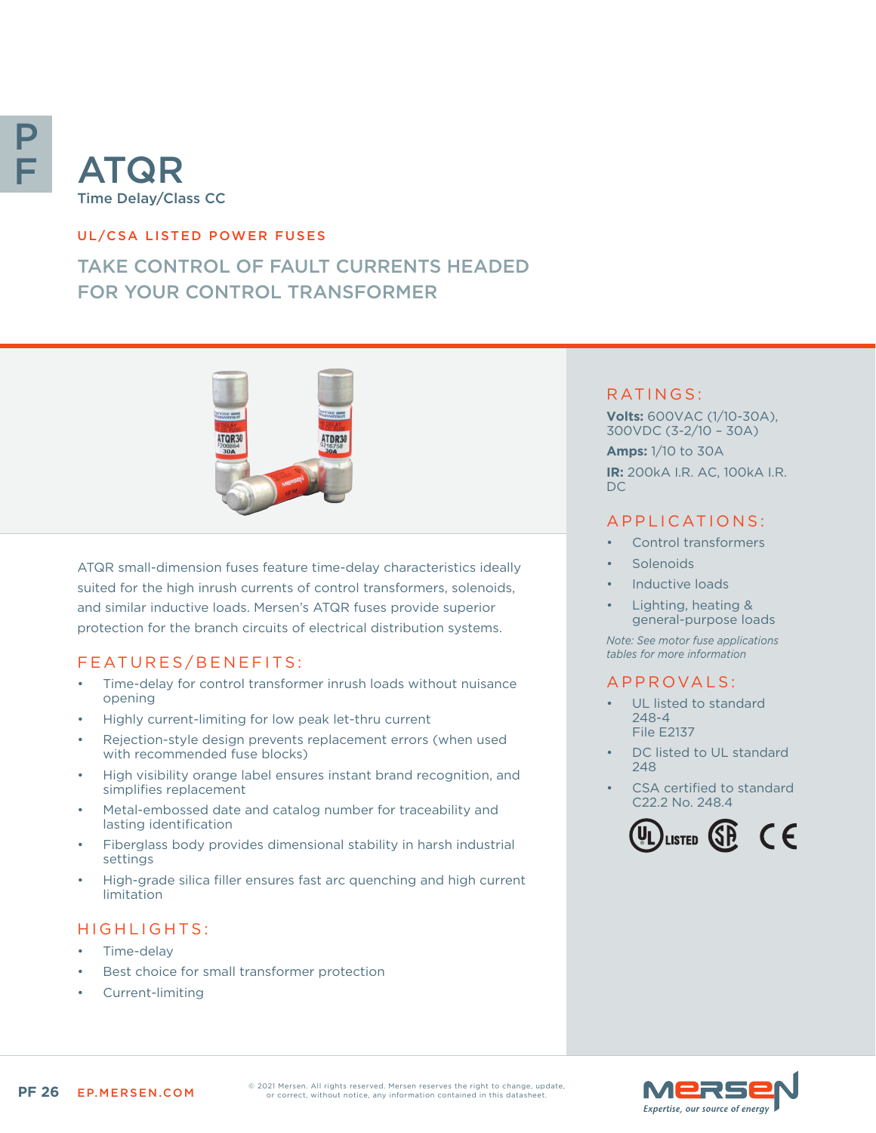

# ATQR Time Delay/Class CC

#### UL/CSA LISTED POWER FUSES

## TAKE CONTROL OF FAULT CURRENTS HEADED FOR YOUR CONTROL TRANSFORMER



ATQR small-dimension fuses feature time-delay characteristics ideally suited for the high inrush currents of control transformers, solenoids, and similar inductive loads. Mersen's ATQR fuses provide superior protection for the branch circuits of electrical distribution systems.

#### FEATURES/BENEFITS:

- Time-delay for control transformer inrush loads without nuisance opening
- Highly current-limiting for low peak let-thru current
- Rejection-style design prevents replacement errors (when used with recommended fuse blocks)
- High visibility orange label ensures instant brand recognition, and simplifies replacement
- Metal-embossed date and catalog number for traceability and lasting identification
- Fiberglass body provides dimensional stability in harsh industrial settings
- High-grade silica filler ensures fast arc quenching and high current limitation

## HIGHLIGHTS:

- Time-delay
- Best choice for small transformer protection
- Current-limiting

#### RATINGS:

**Volts:** 600VAC (1/10-30A), 300VDC (3-2/10 – 30A)

**Amps:** 1/10 to 30A **IR:** 200kA I.R. AC, 100kA I.R. DC

### APPLICATIONS:

- Control transformers
- **Solenoids**
- Inductive loads
- Lighting, heating & general-purpose loads

*Note: See motor fuse applications tables for more information*

#### A P P R OVA L S :

- UL listed to standard 248-4 File E2137
- DC listed to UL standard 248
- CSA certified to standard C22.2 No. 248.4